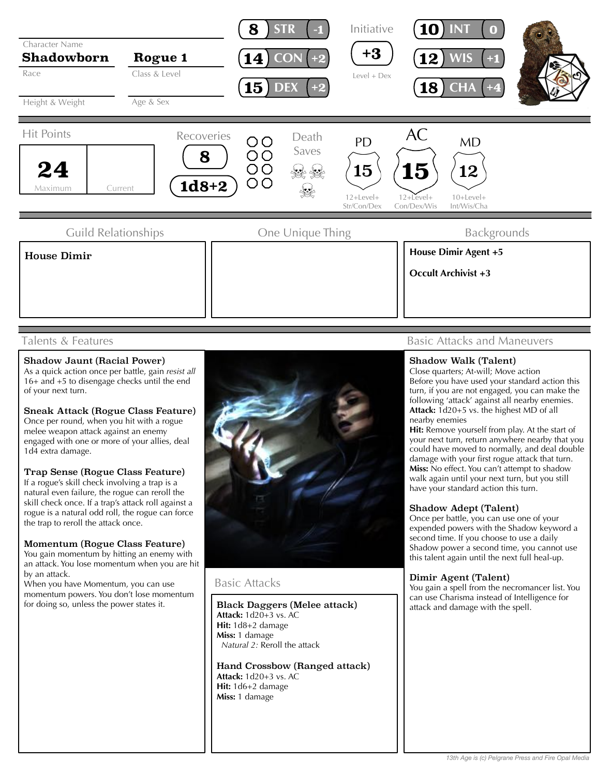

## Talents & Features

## Shadow Jaunt (Racial Power)

As a quick action once per battle, gain *resist all* 16+ and +5 to disengage checks until the end of your next turn.

Sneak Attack (Rogue Class Feature) Once per round, when you hit with a rogue melee weapon attack against an enemy engaged with one or more of your allies, deal 1d4 extra damage.

#### Trap Sense (Rogue Class Feature)

If a rogue's skill check involving a trap is a natural even failure, the rogue can reroll the skill check once. If a trap's attack roll against a rogue is a natural odd roll, the rogue can force the trap to reroll the attack once.

#### Momentum (Rogue Class Feature)

You gain momentum by hitting an enemy with an attack. You lose momentum when you are hit by an attack.

When you have Momentum, you can use momentum powers. You don't lose momentum for doing so, unless the power states it.



## Basic Attacks

Black Daggers (Melee attack) **Attack:** 1d20+3 vs. AC **Hit:** 1d8+2 damage **Miss:** 1 damage *Natural 2:* Reroll the attack

Hand Crossbow (Ranged attack) **Attack:** 1d20+3 vs. AC **Hit:** 1d6+2 damage **Miss:** 1 damage

# Basic Attacks and Maneuvers

#### Shadow Walk (Talent)

Close quarters; At-will; Move action Before you have used your standard action this turn, if you are not engaged, you can make the following 'attack' against all nearby enemies. **Attack:** 1d20+5 vs. the highest MD of all nearby enemies

**Hit:** Remove yourself from play. At the start of your next turn, return anywhere nearby that you could have moved to normally, and deal double damage with your first rogue attack that turn. **Miss:** No effect. You can't attempt to shadow walk again until your next turn, but you still have your standard action this turn.

## Shadow Adept (Talent)

Once per battle, you can use one of your expended powers with the Shadow keyword a second time. If you choose to use a daily Shadow power a second time, you cannot use this talent again until the next full heal-up.

## Dimir Agent (Talent)

You gain a spell from the necromancer list. You can use Charisma instead of Intelligence for attack and damage with the spell.